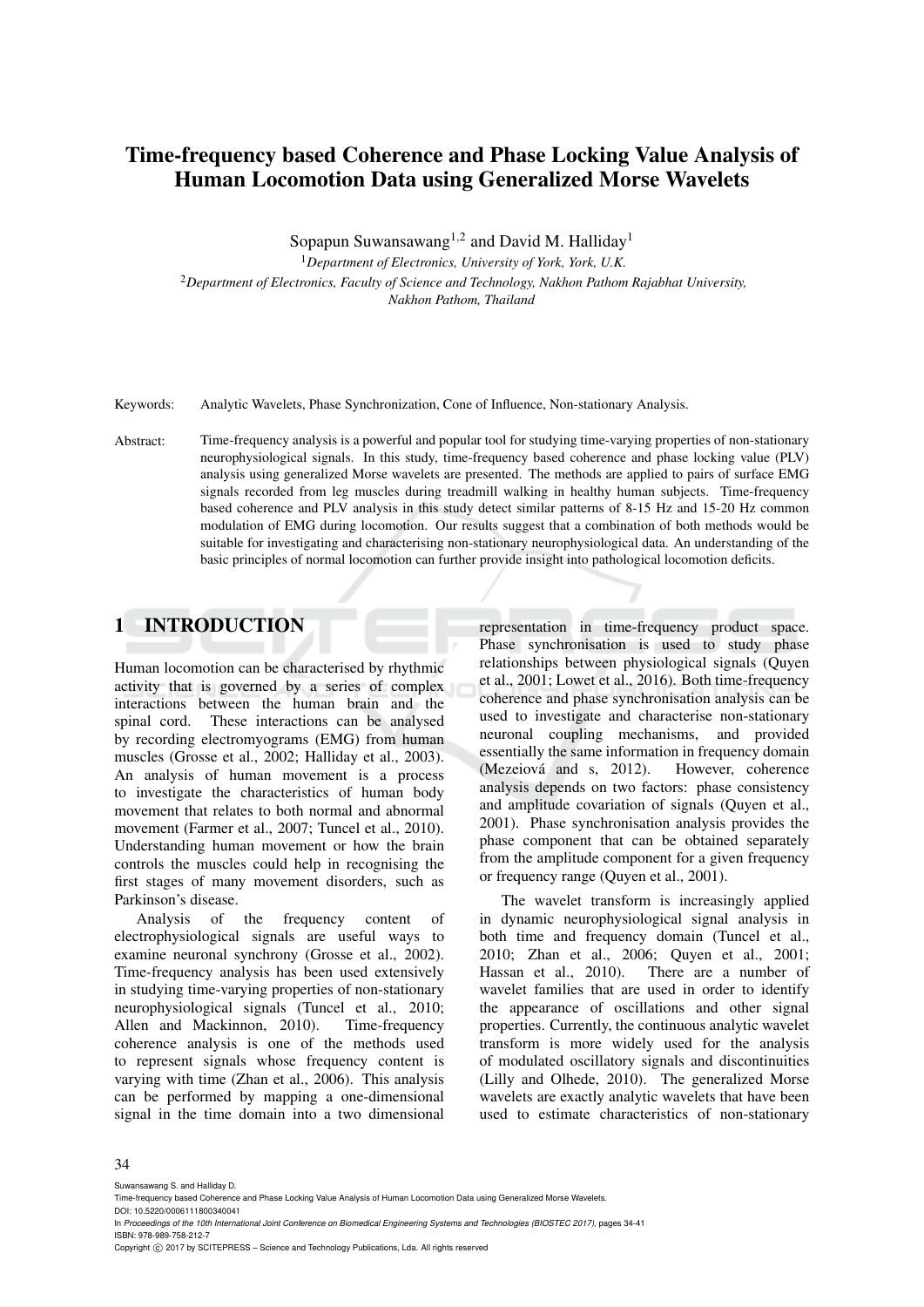# Time-frequency based Coherence and Phase Locking Value Analysis of Human Locomotion Data using Generalized Morse Wavelets

Sopapun Suwansawang<sup>1,2</sup> and David M. Halliday<sup>1</sup>

<sup>1</sup>*Department of Electronics, University of York, York, U.K.* <sup>2</sup>*Department of Electronics, Faculty of Science and Technology, Nakhon Pathom Rajabhat University, Nakhon Pathom, Thailand*

Keywords: Analytic Wavelets, Phase Synchronization, Cone of Influence, Non-stationary Analysis.

Abstract: Time-frequency analysis is a powerful and popular tool for studying time-varying properties of non-stationary neurophysiological signals. In this study, time-frequency based coherence and phase locking value (PLV) analysis using generalized Morse wavelets are presented. The methods are applied to pairs of surface EMG signals recorded from leg muscles during treadmill walking in healthy human subjects. Time-frequency based coherence and PLV analysis in this study detect similar patterns of 8-15 Hz and 15-20 Hz common modulation of EMG during locomotion. Our results suggest that a combination of both methods would be suitable for investigating and characterising non-stationary neurophysiological data. An understanding of the basic principles of normal locomotion can further provide insight into pathological locomotion deficits.

## 1 INTRODUCTION

Human locomotion can be characterised by rhythmic activity that is governed by a series of complex interactions between the human brain and the spinal cord. These interactions can be analysed by recording electromyograms (EMG) from human muscles (Grosse et al., 2002; Halliday et al., 2003). An analysis of human movement is a process to investigate the characteristics of human body movement that relates to both normal and abnormal movement (Farmer et al., 2007; Tuncel et al., 2010). Understanding human movement or how the brain controls the muscles could help in recognising the first stages of many movement disorders, such as Parkinson's disease.

Analysis of the frequency content of electrophysiological signals are useful ways to examine neuronal synchrony (Grosse et al., 2002). Time-frequency analysis has been used extensively in studying time-varying properties of non-stationary neurophysiological signals (Tuncel et al., 2010; Allen and Mackinnon, 2010). Time-frequency coherence analysis is one of the methods used to represent signals whose frequency content is varying with time (Zhan et al., 2006). This analysis can be performed by mapping a one-dimensional signal in the time domain into a two dimensional

representation in time-frequency product space. Phase synchronisation is used to study phase relationships between physiological signals (Quyen et al., 2001; Lowet et al., 2016). Both time-frequency coherence and phase synchronisation analysis can be used to investigate and characterise non-stationary neuronal coupling mechanisms, and provided essentially the same information in frequency domain<br>(Mezeiová and s, 2012). However, coherence  $(Mezeiová and s, 2012).$ analysis depends on two factors: phase consistency and amplitude covariation of signals (Quyen et al., 2001). Phase synchronisation analysis provides the phase component that can be obtained separately from the amplitude component for a given frequency or frequency range (Quyen et al., 2001).

The wavelet transform is increasingly applied in dynamic neurophysiological signal analysis in both time and frequency domain (Tuncel et al., 2010; Zhan et al., 2006; Quyen et al., 2001; Hassan et al., 2010). There are a number of wavelet families that are used in order to identify the appearance of oscillations and other signal properties. Currently, the continuous analytic wavelet transform is more widely used for the analysis of modulated oscillatory signals and discontinuities (Lilly and Olhede, 2010). The generalized Morse wavelets are exactly analytic wavelets that have been used to estimate characteristics of non-stationary

#### 34

Suwansawang S. and Halliday D.

Copyright (C) 2017 by SCITEPRESS - Science and Technology Publications, Lda. All rights reserved

Time-frequency based Coherence and Phase Locking Value Analysis of Human Locomotion Data using Generalized Morse Wavelets. DOI: 10.5220/0006111800340041

In *Proceedings of the 10th International Joint Conference on Biomedical Engineering Systems and Technologies (BIOSTEC 2017)*, pages 34-41 ISBN: 978-989-758-212-7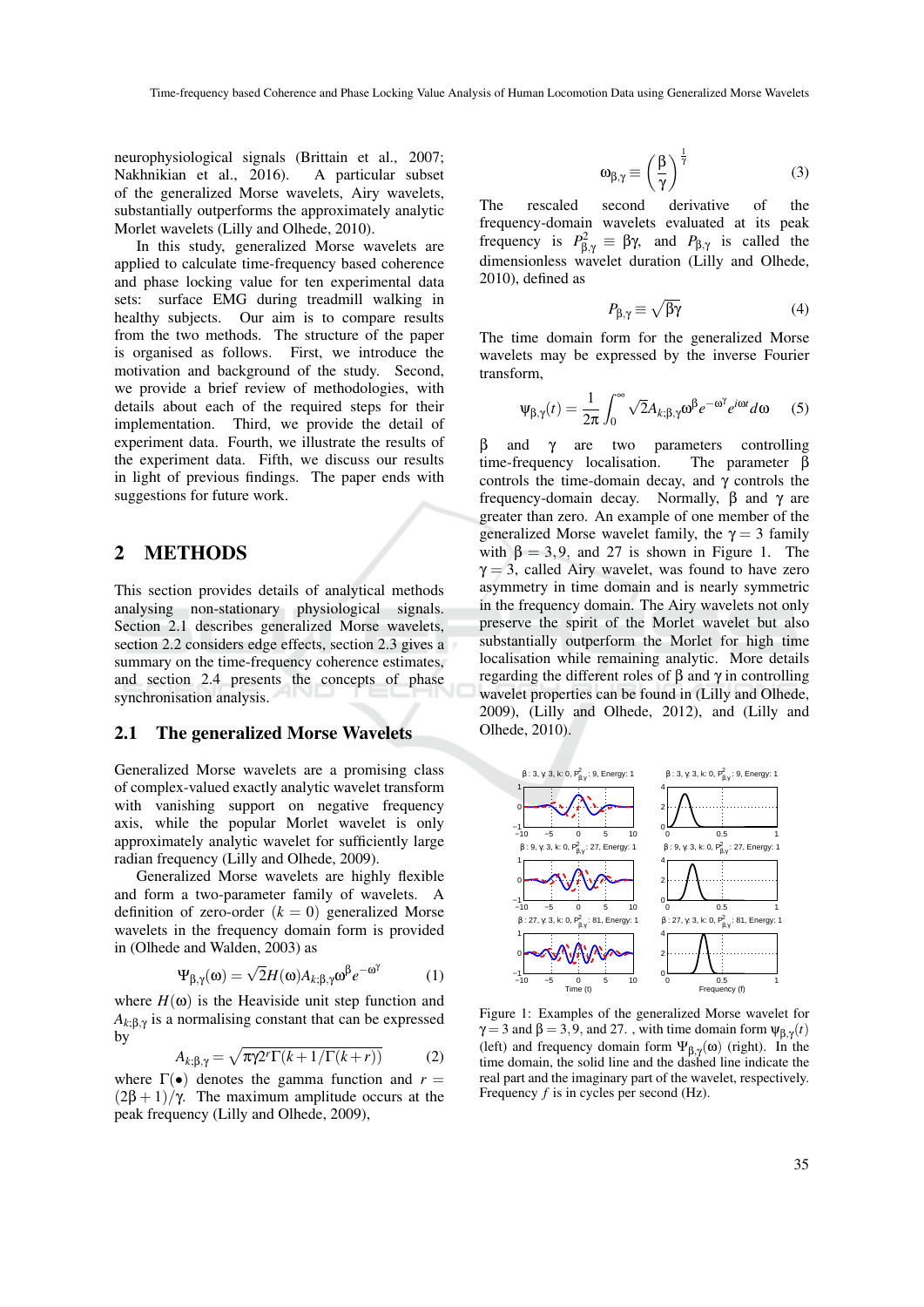neurophysiological signals (Brittain et al., 2007; Nakhnikian et al., 2016). A particular subset of the generalized Morse wavelets, Airy wavelets, substantially outperforms the approximately analytic Morlet wavelets (Lilly and Olhede, 2010).

In this study, generalized Morse wavelets are applied to calculate time-frequency based coherence and phase locking value for ten experimental data sets: surface EMG during treadmill walking in healthy subjects. Our aim is to compare results from the two methods. The structure of the paper is organised as follows. First, we introduce the motivation and background of the study. Second, we provide a brief review of methodologies, with details about each of the required steps for their implementation. Third, we provide the detail of experiment data. Fourth, we illustrate the results of the experiment data. Fifth, we discuss our results in light of previous findings. The paper ends with suggestions for future work.

### 2 METHODS

This section provides details of analytical methods analysing non-stationary physiological signals. Section 2.1 describes generalized Morse wavelets, section 2.2 considers edge effects, section 2.3 gives a summary on the time-frequency coherence estimates, and section 2.4 presents the concepts of phase synchronisation analysis.

#### 2.1 The generalized Morse Wavelets

Generalized Morse wavelets are a promising class of complex-valued exactly analytic wavelet transform with vanishing support on negative frequency axis, while the popular Morlet wavelet is only approximately analytic wavelet for sufficiently large radian frequency (Lilly and Olhede, 2009).

Generalized Morse wavelets are highly flexible and form a two-parameter family of wavelets. A definition of zero-order  $(k = 0)$  generalized Morse wavelets in the frequency domain form is provided in (Olhede and Walden, 2003) as

$$
\Psi_{\beta,\gamma}(\omega) = \sqrt{2}H(\omega)A_{k;\beta,\gamma}\omega^{\beta}e^{-\omega^{\gamma}}
$$
 (1)

where  $H(\omega)$  is the Heaviside unit step function and  $A_{k;\beta,\gamma}$  is a normalising constant that can be expressed by

$$
A_{k;\beta,\gamma} = \sqrt{\pi \gamma 2^r \Gamma(k+1/\Gamma(k+r))}
$$
 (2)

where  $\Gamma(\bullet)$  denotes the gamma function and  $r =$  $(2\beta + 1)/\gamma$ . The maximum amplitude occurs at the peak frequency (Lilly and Olhede, 2009),

$$
\omega_{\beta,\gamma} \equiv \left(\frac{\beta}{\gamma}\right)^{\frac{1}{\gamma}} \tag{3}
$$

The rescaled second derivative of the frequency-domain wavelets evaluated at its peak frequency is  $P_{\beta,\gamma}^2 \equiv \beta \gamma$ , and  $P_{\beta,\gamma}$  is called the dimensionless wavelet duration (Lilly and Olhede, 2010), defined as

$$
P_{\beta,\gamma} \equiv \sqrt{\beta \gamma} \tag{4}
$$

The time domain form for the generalized Morse wavelets may be expressed by the inverse Fourier transform,

$$
\Psi_{\beta,\gamma}(t) = \frac{1}{2\pi} \int_0^\infty \sqrt{2} A_{k;\beta,\gamma} \omega^\beta e^{-\omega^\gamma} e^{i\omega t} d\omega \qquad (5)
$$

β and γ are two parameters controlling time-frequency localisation. The parameter β controls the time-domain decay, and  $\gamma$  controls the frequency-domain decay. Normally, β and γ are greater than zero. An example of one member of the generalized Morse wavelet family, the  $\gamma = 3$  family with  $\beta = 3, 9$ , and 27 is shown in Figure 1. The  $\gamma = 3$ , called Airy wavelet, was found to have zero asymmetry in time domain and is nearly symmetric in the frequency domain. The Airy wavelets not only preserve the spirit of the Morlet wavelet but also substantially outperform the Morlet for high time localisation while remaining analytic. More details regarding the different roles of β and γ in controlling wavelet properties can be found in (Lilly and Olhede, 2009), (Lilly and Olhede, 2012), and (Lilly and Olhede, 2010).



Figure 1: Examples of the generalized Morse wavelet for  $\gamma = 3$  and  $\beta = 3, 9$ , and 27. , with time domain form  $\psi_{\beta,\gamma}(t)$ (left) and frequency domain form  $\Psi_{\beta,\gamma}(\omega)$  (right). In the time domain, the solid line and the dashed line indicate the real part and the imaginary part of the wavelet, respectively. Frequency *f* is in cycles per second (Hz).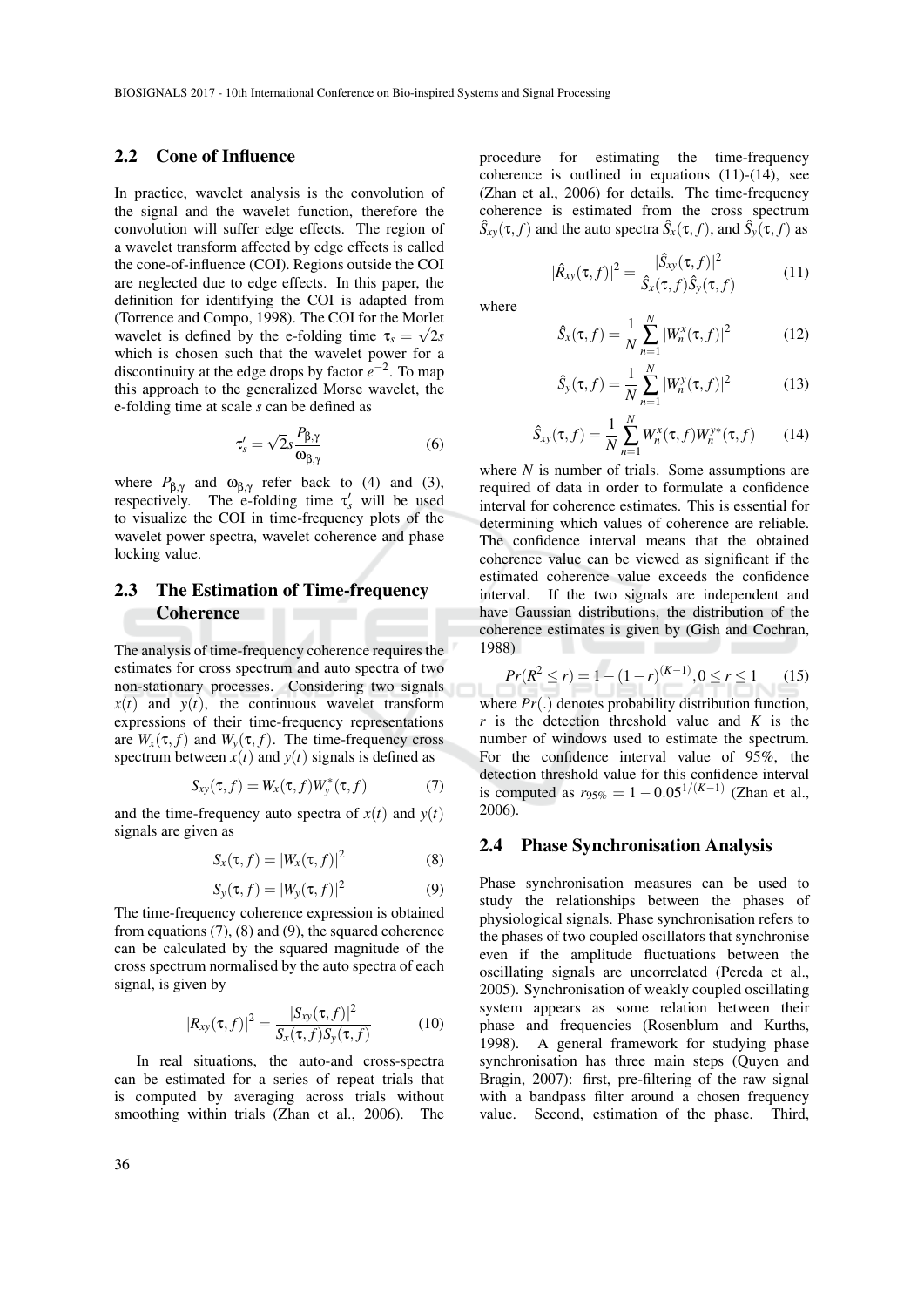### 2.2 Cone of Influence

In practice, wavelet analysis is the convolution of the signal and the wavelet function, therefore the convolution will suffer edge effects. The region of a wavelet transform affected by edge effects is called the cone-of-influence (COI). Regions outside the COI are neglected due to edge effects. In this paper, the definition for identifying the COI is adapted from (Torrence and Compo, 1998). The COI for the Morlet wavelet is defined by the e-folding time  $\tau_s = \sqrt{2}s$ which is chosen such that the wavelet power for a discontinuity at the edge drops by factor  $e^{-2}$ . To map this approach to the generalized Morse wavelet, the e-folding time at scale *s* can be defined as

$$
\tau_s' = \sqrt{2} s \frac{P_{\beta,\gamma}}{\omega_{\beta,\gamma}}
$$
 (6)

where  $P_{\beta,\gamma}$  and  $\omega_{\beta,\gamma}$  refer back to (4) and (3), respectively. The e-folding time  $\tau'_{s}$  will be used to visualize the COI in time-frequency plots of the wavelet power spectra, wavelet coherence and phase locking value.

## 2.3 The Estimation of Time-frequency **Coherence**

The analysis of time-frequency coherence requires the estimates for cross spectrum and auto spectra of two non-stationary processes. Considering two signals  $x(t)$  and  $y(t)$ , the continuous wavelet transform expressions of their time-frequency representations are  $W_x(\tau, f)$  and  $W_y(\tau, f)$ . The time-frequency cross spectrum between  $x(t)$  and  $y(t)$  signals is defined as

$$
S_{xy}(\tau, f) = W_x(\tau, f)W_y^*(\tau, f)
$$
 (7)

and the time-frequency auto spectra of  $x(t)$  and  $y(t)$ signals are given as

$$
S_x(\tau, f) = |W_x(\tau, f)|^2 \tag{8}
$$

$$
S_{y}(\tau, f) = |W_{y}(\tau, f)|^{2}
$$
\n(9)

The time-frequency coherence expression is obtained from equations (7), (8) and (9), the squared coherence can be calculated by the squared magnitude of the cross spectrum normalised by the auto spectra of each signal, is given by

$$
|R_{xy}(\tau, f)|^2 = \frac{|S_{xy}(\tau, f)|^2}{S_x(\tau, f)S_y(\tau, f)}
$$
(10)

In real situations, the auto-and cross-spectra can be estimated for a series of repeat trials that is computed by averaging across trials without smoothing within trials (Zhan et al., 2006). The

procedure for estimating the time-frequency coherence is outlined in equations (11)-(14), see (Zhan et al., 2006) for details. The time-frequency coherence is estimated from the cross spectrum  $\hat{S}_{xy}(\tau, f)$  and the auto spectra  $\hat{S}_x(\tau, f)$ , and  $\hat{S}_y(\tau, f)$  as

$$
|\hat{R}_{xy}(\tau,f)|^2 = \frac{|\hat{S}_{xy}(\tau,f)|^2}{\hat{S}_x(\tau,f)\hat{S}_y(\tau,f)}
$$
(11)

where

$$
\hat{S}_x(\tau, f) = \frac{1}{N} \sum_{n=1}^{N} |W_n^x(\tau, f)|^2
$$
 (12)

$$
\hat{S}_{y}(\tau, f) = \frac{1}{N} \sum_{n=1}^{N} |W_{n}^{y}(\tau, f)|^{2}
$$
 (13)

$$
\hat{S}_{xy}(\tau, f) = \frac{1}{N} \sum_{n=1}^{N} W_n^x(\tau, f) W_n^{y*}(\tau, f)
$$
 (14)

where *N* is number of trials. Some assumptions are required of data in order to formulate a confidence interval for coherence estimates. This is essential for determining which values of coherence are reliable. The confidence interval means that the obtained coherence value can be viewed as significant if the estimated coherence value exceeds the confidence interval. If the two signals are independent and have Gaussian distributions, the distribution of the coherence estimates is given by (Gish and Cochran, 1988)

$$
Pr(R^2 \le r) = 1 - (1 - r)^{(K - 1)}, 0 \le r \le 1
$$
 (15)

where  $Pr(.)$  denotes probability distribution function, *r* is the detection threshold value and *K* is the number of windows used to estimate the spectrum. For the confidence interval value of 95%, the detection threshold value for this confidence interval is computed as  $r_{95\%} = 1 - 0.05^{1/(K-1)}$  (Zhan et al., 2006).

### 2.4 Phase Synchronisation Analysis

Phase synchronisation measures can be used to study the relationships between the phases of physiological signals. Phase synchronisation refers to the phases of two coupled oscillators that synchronise even if the amplitude fluctuations between the oscillating signals are uncorrelated (Pereda et al., 2005). Synchronisation of weakly coupled oscillating system appears as some relation between their phase and frequencies (Rosenblum and Kurths, 1998). A general framework for studying phase synchronisation has three main steps (Quyen and Bragin, 2007): first, pre-filtering of the raw signal with a bandpass filter around a chosen frequency value. Second, estimation of the phase. Third,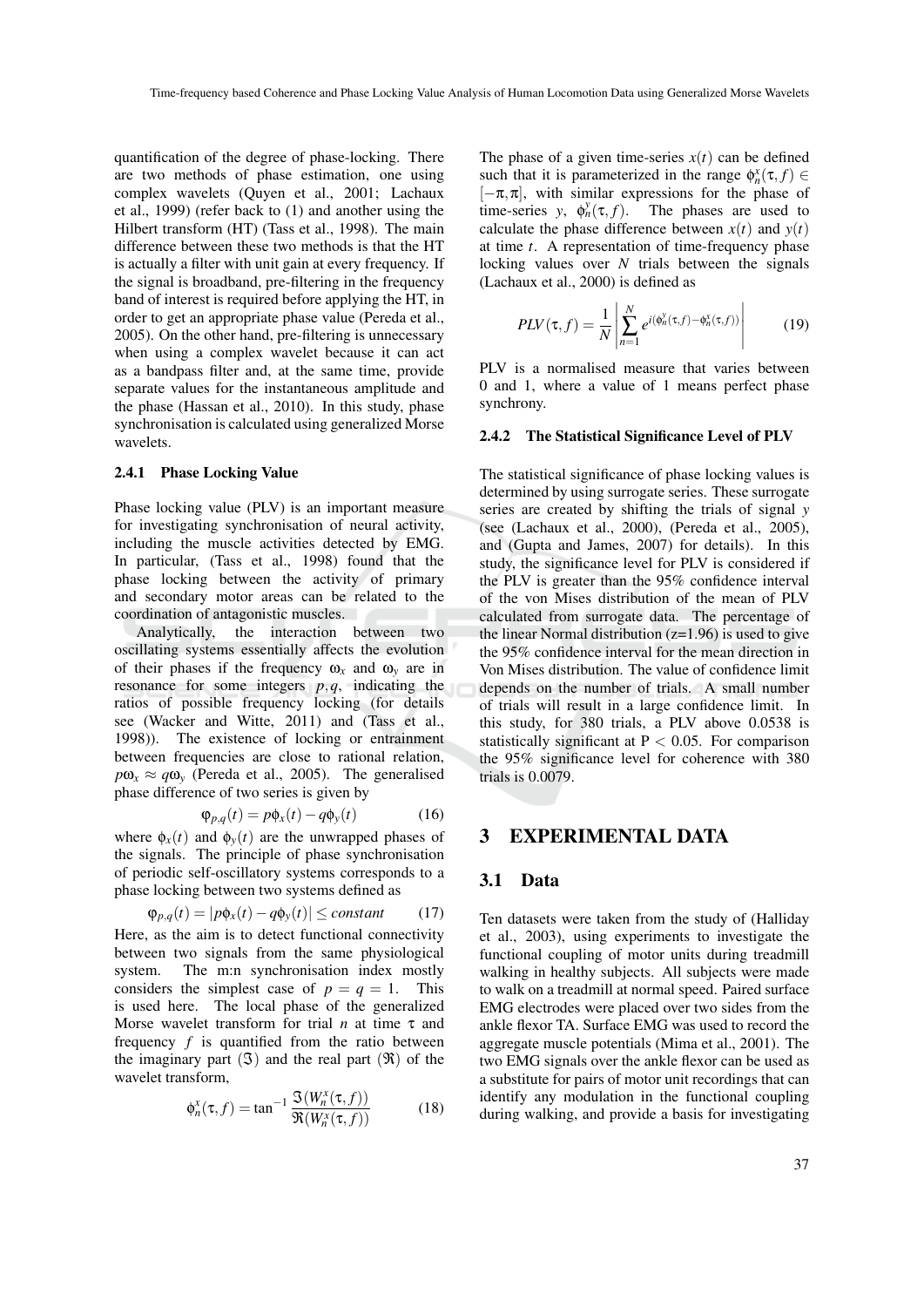quantification of the degree of phase-locking. There are two methods of phase estimation, one using complex wavelets (Quyen et al., 2001; Lachaux et al., 1999) (refer back to (1) and another using the Hilbert transform (HT) (Tass et al., 1998). The main difference between these two methods is that the HT is actually a filter with unit gain at every frequency. If the signal is broadband, pre-filtering in the frequency band of interest is required before applying the HT, in order to get an appropriate phase value (Pereda et al., 2005). On the other hand, pre-filtering is unnecessary when using a complex wavelet because it can act as a bandpass filter and, at the same time, provide separate values for the instantaneous amplitude and the phase (Hassan et al., 2010). In this study, phase synchronisation is calculated using generalized Morse wavelets.

#### 2.4.1 Phase Locking Value

Phase locking value (PLV) is an important measure for investigating synchronisation of neural activity, including the muscle activities detected by EMG. In particular, (Tass et al., 1998) found that the phase locking between the activity of primary and secondary motor areas can be related to the coordination of antagonistic muscles.

Analytically, the interaction between two oscillating systems essentially affects the evolution of their phases if the frequency  $\omega_x$  and  $\omega_y$  are in resonance for some integers *p*,*q*, indicating the ratios of possible frequency locking (for details see (Wacker and Witte, 2011) and (Tass et al., 1998)). The existence of locking or entrainment between frequencies are close to rational relation,  $p\omega_r \approx q\omega_v$  (Pereda et al., 2005). The generalised phase difference of two series is given by

$$
\varphi_{p,q}(t) = p\varphi_x(t) - q\varphi_y(t) \tag{16}
$$

where  $\phi_x(t)$  and  $\phi_y(t)$  are the unwrapped phases of the signals. The principle of phase synchronisation of periodic self-oscillatory systems corresponds to a phase locking between two systems defined as

$$
\varphi_{p,q}(t) = |p\phi_x(t) - q\phi_y(t)| \leq constant \qquad (17)
$$

Here, as the aim is to detect functional connectivity between two signals from the same physiological system. The m:n synchronisation index mostly considers the simplest case of  $p = q = 1$ . This is used here. The local phase of the generalized Morse wavelet transform for trial *n* at time τ and frequency *f* is quantified from the ratio between the imaginary part  $(ℑ)$  and the real part  $(ℑ)$  of the wavelet transform,

$$
\phi_n^x(\tau, f) = \tan^{-1} \frac{\mathfrak{S}(W_n^x(\tau, f))}{\mathfrak{R}(W_n^x(\tau, f))}
$$
(18)

The phase of a given time-series  $x(t)$  can be defined such that it is parameterized in the range  $\phi_n^x(\tau, f) \in$  $[-\pi,\pi]$ , with similar expressions for the phase of time-series  $y$ ,  $\phi_n^y$ The phases are used to calculate the phase difference between  $x(t)$  and  $y(t)$ at time *t*. A representation of time-frequency phase locking values over *N* trials between the signals (Lachaux et al., 2000) is defined as

$$
PLV(\tau, f) = \frac{1}{N} \left| \sum_{n=1}^{N} e^{i(\phi_n^y(\tau, f) - \phi_n^x(\tau, f))} \right| \tag{19}
$$

PLV is a normalised measure that varies between 0 and 1, where a value of 1 means perfect phase synchrony.

#### 2.4.2 The Statistical Significance Level of PLV

The statistical significance of phase locking values is determined by using surrogate series. These surrogate series are created by shifting the trials of signal *y* (see (Lachaux et al., 2000), (Pereda et al., 2005), and (Gupta and James, 2007) for details). In this study, the significance level for PLV is considered if the PLV is greater than the 95% confidence interval of the von Mises distribution of the mean of PLV calculated from surrogate data. The percentage of the linear Normal distribution  $(z=1.96)$  is used to give the 95% confidence interval for the mean direction in Von Mises distribution. The value of confidence limit depends on the number of trials. A small number of trials will result in a large confidence limit. In this study, for 380 trials, a PLV above 0.0538 is statistically significant at  $P < 0.05$ . For comparison the 95% significance level for coherence with 380 trials is 0.0079.

### EXPERIMENTAL DATA

#### 3.1 Data

Ten datasets were taken from the study of (Halliday et al., 2003), using experiments to investigate the functional coupling of motor units during treadmill walking in healthy subjects. All subjects were made to walk on a treadmill at normal speed. Paired surface EMG electrodes were placed over two sides from the ankle flexor TA. Surface EMG was used to record the aggregate muscle potentials (Mima et al., 2001). The two EMG signals over the ankle flexor can be used as a substitute for pairs of motor unit recordings that can identify any modulation in the functional coupling during walking, and provide a basis for investigating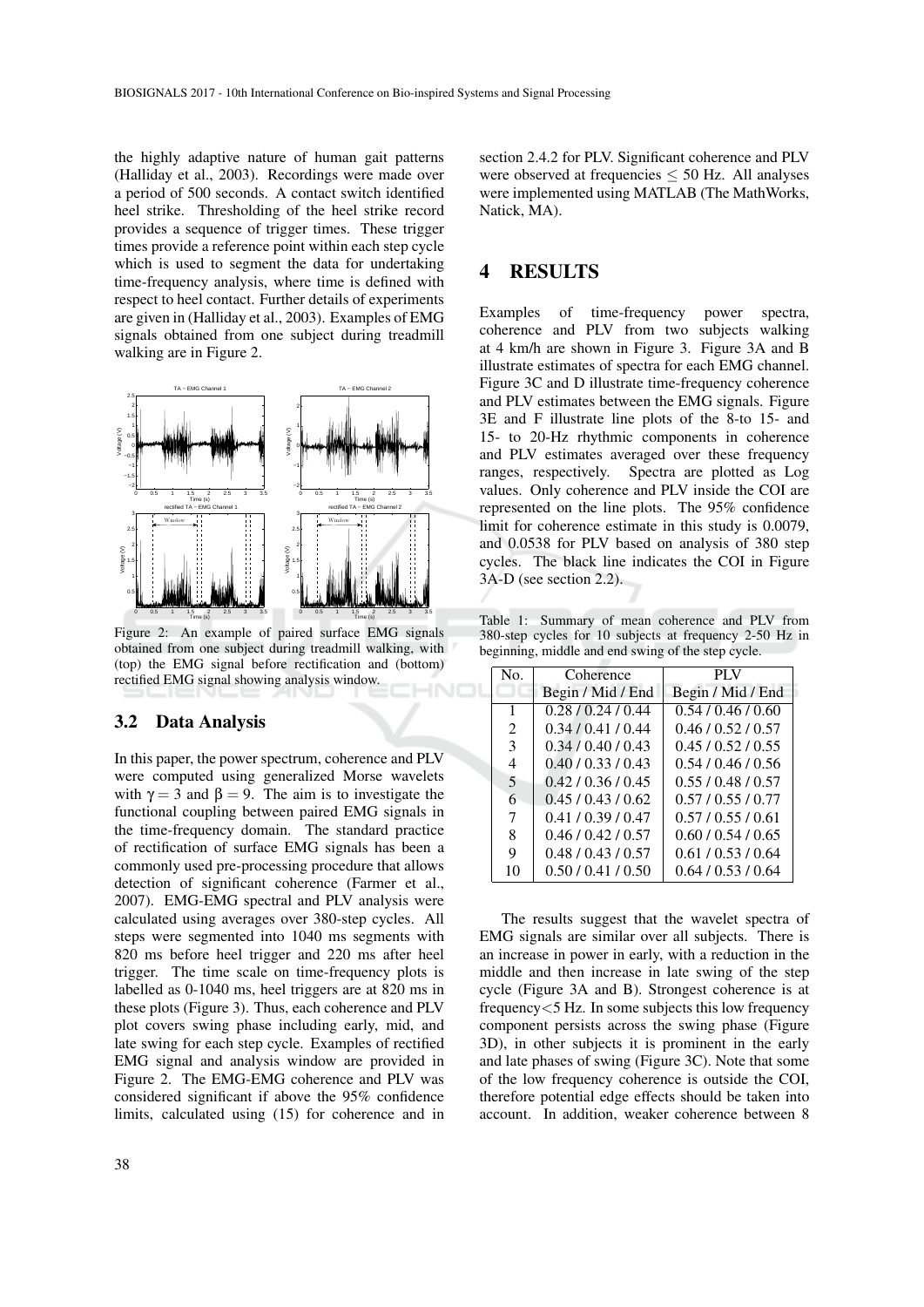the highly adaptive nature of human gait patterns (Halliday et al., 2003). Recordings were made over a period of 500 seconds. A contact switch identified heel strike. Thresholding of the heel strike record provides a sequence of trigger times. These trigger times provide a reference point within each step cycle which is used to segment the data for undertaking time-frequency analysis, where time is defined with respect to heel contact. Further details of experiments are given in (Halliday et al., 2003). Examples of EMG signals obtained from one subject during treadmill walking are in Figure 2.



Figure 2: An example of paired surface EMG signals obtained from one subject during treadmill walking, with (top) the EMG signal before rectification and (bottom) rectified EMG signal showing analysis window.

### 3.2 Data Analysis

In this paper, the power spectrum, coherence and PLV were computed using generalized Morse wavelets with  $\gamma = 3$  and  $\beta = 9$ . The aim is to investigate the functional coupling between paired EMG signals in the time-frequency domain. The standard practice of rectification of surface EMG signals has been a commonly used pre-processing procedure that allows detection of significant coherence (Farmer et al., 2007). EMG-EMG spectral and PLV analysis were calculated using averages over 380-step cycles. All steps were segmented into 1040 ms segments with 820 ms before heel trigger and 220 ms after heel trigger. The time scale on time-frequency plots is labelled as 0-1040 ms, heel triggers are at 820 ms in these plots (Figure 3). Thus, each coherence and PLV plot covers swing phase including early, mid, and late swing for each step cycle. Examples of rectified EMG signal and analysis window are provided in Figure 2. The EMG-EMG coherence and PLV was considered significant if above the 95% confidence limits, calculated using (15) for coherence and in

section 2.4.2 for PLV. Significant coherence and PLV were observed at frequencies  $\leq$  50 Hz. All analyses were implemented using MATLAB (The MathWorks, Natick, MA).

## 4 RESULTS

Examples of time-frequency power spectra, coherence and PLV from two subjects walking at 4 km/h are shown in Figure 3. Figure 3A and B illustrate estimates of spectra for each EMG channel. Figure 3C and D illustrate time-frequency coherence and PLV estimates between the EMG signals. Figure 3E and F illustrate line plots of the 8-to 15- and 15- to 20-Hz rhythmic components in coherence and PLV estimates averaged over these frequency ranges, respectively. Spectra are plotted as Log values. Only coherence and PLV inside the COI are represented on the line plots. The 95% confidence limit for coherence estimate in this study is 0.0079, and 0.0538 for PLV based on analysis of 380 step cycles. The black line indicates the COI in Figure 3A-D (see section 2.2).

Table 1: Summary of mean coherence and PLV from 380-step cycles for 10 subjects at frequency 2-50 Hz in beginning, middle and end swing of the step cycle.

| No.           | Coherence          | PI V              |
|---------------|--------------------|-------------------|
|               | Begin / Mid / End  | Begin / Mid / End |
| 1             | 0.28 / 0.24 / 0.44 | 0.54/0.46/0.60    |
| 2             | 0.34/0.41/0.44     | 0.46/0.52/0.57    |
| $\mathcal{E}$ | 0.34/0.40/0.43     | 0.45/0.52/0.55    |
| 4             | 0.40/0.33/0.43     | 0.54/0.46/0.56    |
| 5             | 0.42/0.36/0.45     | 0.55/0.48/0.57    |
| 6             | 0.45/0.43/0.62     | 0.57/0.55/0.77    |
| 7             | 0.41/0.39/0.47     | 0.57/0.55/0.61    |
| 8             | 0.46/0.42/0.57     | 0.60/0.54/0.65    |
| 9             | 0.48/0.43/0.57     | 0.61/0.53/0.64    |
| 10            | 0.50/0.41/0.50     | 0.64/0.53/0.64    |

The results suggest that the wavelet spectra of EMG signals are similar over all subjects. There is an increase in power in early, with a reduction in the middle and then increase in late swing of the step cycle (Figure 3A and B). Strongest coherence is at frequency<5 Hz. In some subjects this low frequency component persists across the swing phase (Figure 3D), in other subjects it is prominent in the early and late phases of swing (Figure 3C). Note that some of the low frequency coherence is outside the COI, therefore potential edge effects should be taken into account. In addition, weaker coherence between 8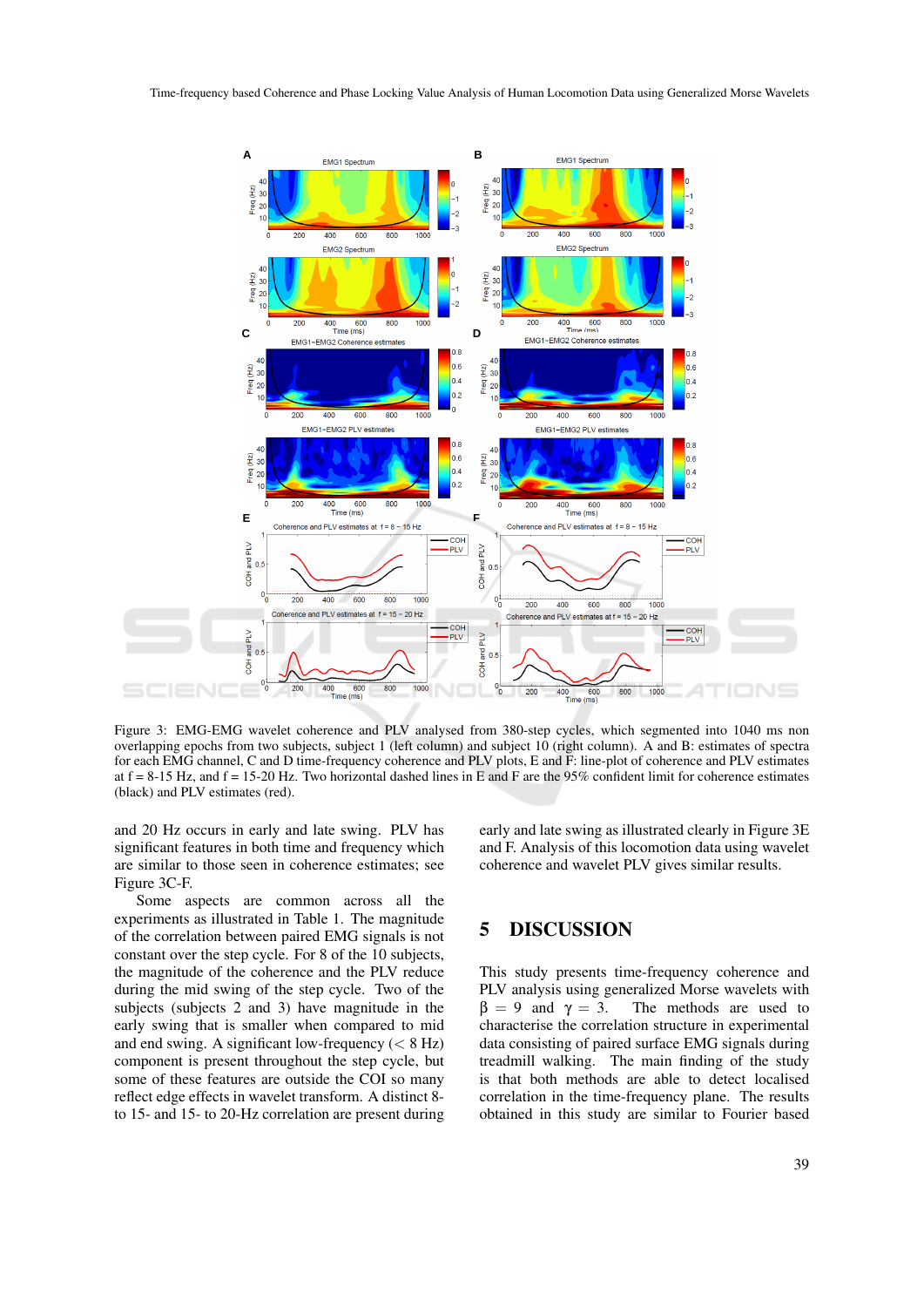

Figure 3: EMG-EMG wavelet coherence and PLV analysed from 380-step cycles, which segmented into 1040 ms non overlapping epochs from two subjects, subject 1 (left column) and subject 10 (right column). A and B: estimates of spectra for each EMG channel, C and D time-frequency coherence and PLV plots, E and F: line-plot of coherence and PLV estimates at  $f = 8-15$  Hz, and  $f = 15-20$  Hz. Two horizontal dashed lines in E and F are the 95% confident limit for coherence estimates (black) and PLV estimates (red).

and 20 Hz occurs in early and late swing. PLV has significant features in both time and frequency which are similar to those seen in coherence estimates; see Figure 3C-F.

Some aspects are common across all the experiments as illustrated in Table 1. The magnitude of the correlation between paired EMG signals is not constant over the step cycle. For 8 of the 10 subjects, the magnitude of the coherence and the PLV reduce during the mid swing of the step cycle. Two of the subjects (subjects 2 and 3) have magnitude in the early swing that is smaller when compared to mid and end swing. A significant low-frequency  $(< 8$  Hz) component is present throughout the step cycle, but some of these features are outside the COI so many reflect edge effects in wavelet transform. A distinct 8 to 15- and 15- to 20-Hz correlation are present during

early and late swing as illustrated clearly in Figure 3E and F. Analysis of this locomotion data using wavelet coherence and wavelet PLV gives similar results.

## 5 DISCUSSION

This study presents time-frequency coherence and PLV analysis using generalized Morse wavelets with  $β = 9$  and  $γ = 3$ . The methods are used to characterise the correlation structure in experimental data consisting of paired surface EMG signals during treadmill walking. The main finding of the study is that both methods are able to detect localised correlation in the time-frequency plane. The results obtained in this study are similar to Fourier based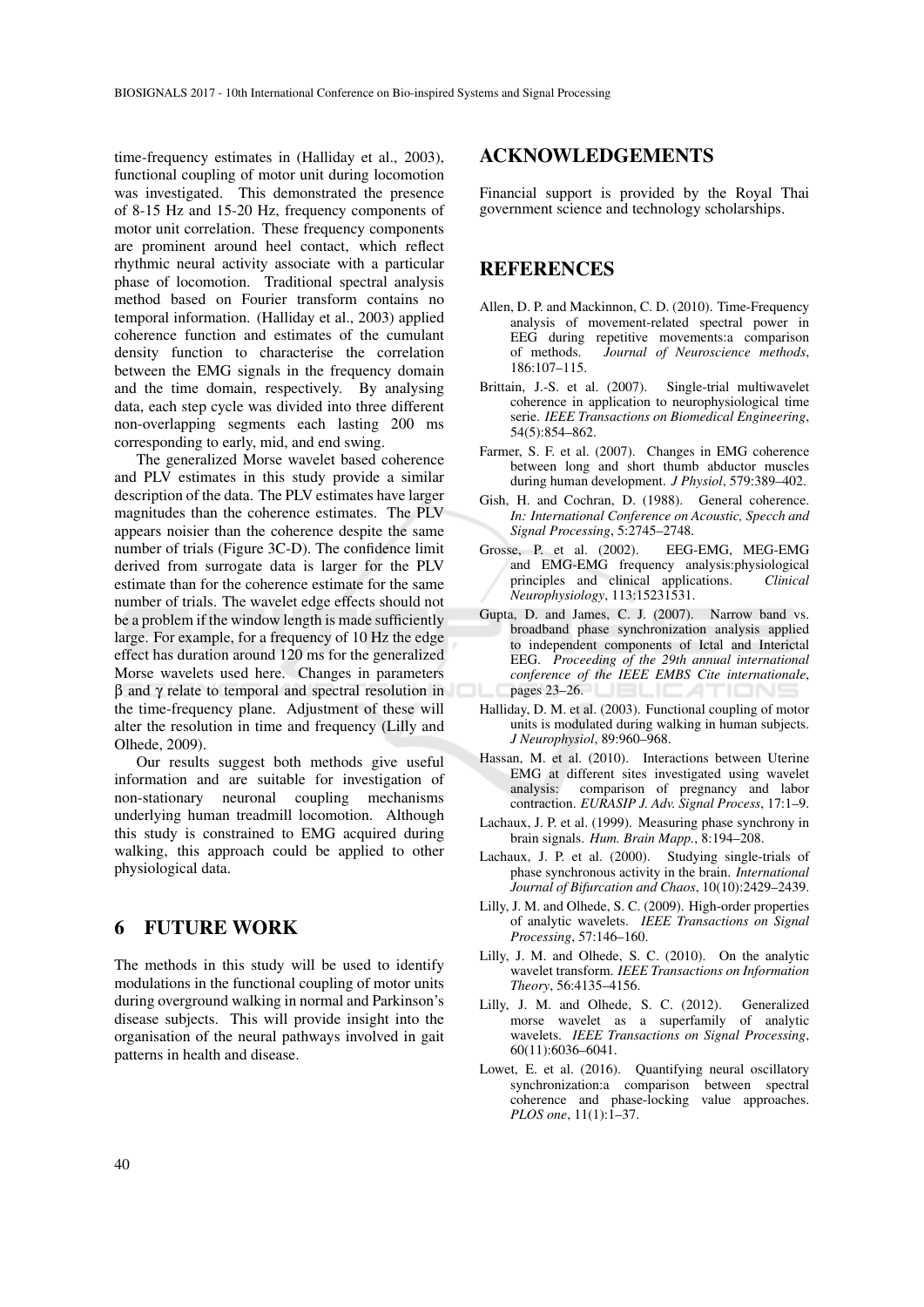time-frequency estimates in (Halliday et al., 2003), functional coupling of motor unit during locomotion was investigated. This demonstrated the presence of 8-15 Hz and 15-20 Hz, frequency components of motor unit correlation. These frequency components are prominent around heel contact, which reflect rhythmic neural activity associate with a particular phase of locomotion. Traditional spectral analysis method based on Fourier transform contains no temporal information. (Halliday et al., 2003) applied coherence function and estimates of the cumulant density function to characterise the correlation between the EMG signals in the frequency domain and the time domain, respectively. By analysing data, each step cycle was divided into three different non-overlapping segments each lasting 200 ms corresponding to early, mid, and end swing.

The generalized Morse wavelet based coherence and PLV estimates in this study provide a similar description of the data. The PLV estimates have larger magnitudes than the coherence estimates. The PLV appears noisier than the coherence despite the same number of trials (Figure 3C-D). The confidence limit derived from surrogate data is larger for the PLV estimate than for the coherence estimate for the same number of trials. The wavelet edge effects should not be a problem if the window length is made sufficiently large. For example, for a frequency of 10 Hz the edge effect has duration around 120 ms for the generalized Morse wavelets used here. Changes in parameters  $β$  and  $γ$  relate to temporal and spectral resolution in the time-frequency plane. Adjustment of these will alter the resolution in time and frequency (Lilly and Olhede, 2009).

Our results suggest both methods give useful information and are suitable for investigation of non-stationary neuronal coupling mechanisms underlying human treadmill locomotion. Although this study is constrained to EMG acquired during walking, this approach could be applied to other physiological data.

## 6 FUTURE WORK

The methods in this study will be used to identify modulations in the functional coupling of motor units during overground walking in normal and Parkinson's disease subjects. This will provide insight into the organisation of the neural pathways involved in gait patterns in health and disease.

### ACKNOWLEDGEMENTS

Financial support is provided by the Royal Thai government science and technology scholarships.

## **REFERENCES**

- Allen, D. P. and Mackinnon, C. D. (2010). Time-Frequency analysis of movement-related spectral power in EEG during repetitive movements:a comparison of methods. *Journal of Neuroscience methods*, 186:107–115.
- Brittain, J.-S. et al. (2007). Single-trial multiwavelet coherence in application to neurophysiological time serie. *IEEE Transactions on Biomedical Engineering*, 54(5):854–862.
- Farmer, S. F. et al. (2007). Changes in EMG coherence between long and short thumb abductor muscles during human development. *J Physiol*, 579:389–402.
- Gish, H. and Cochran, D. (1988). General coherence. *In: International Conference on Acoustic, Specch and Signal Processing*, 5:2745–2748.
- Grosse, P. et al. (2002). EEG-EMG, MEG-EMG and EMG-EMG frequency analysis:physiological<br>principles and clinical applications. *Clinical* principles and clinical applications.<sup>7</sup> *Neurophysiology*, 113:15231531.
- Gupta, D. and James, C. J. (2007). Narrow band vs. broadband phase synchronization analysis applied to independent components of Ictal and Interictal EEG. *Proceeding of the 29th annual international conference of the IEEE EMBS Cite internationale*, pages 23–26.
- Halliday, D. M. et al. (2003). Functional coupling of motor units is modulated during walking in human subjects. *J Neurophysiol*, 89:960–968.
- Hassan, M. et al. (2010). Interactions between Uterine EMG at different sites investigated using wavelet analysis: comparison of pregnancy and labor contraction. *EURASIP J. Adv. Signal Process*, 17:1–9.
- Lachaux, J. P. et al. (1999). Measuring phase synchrony in brain signals. *Hum. Brain Mapp.*, 8:194–208.
- Lachaux, J. P. et al. (2000). Studying single-trials of phase synchronous activity in the brain. *International Journal of Bifurcation and Chaos*, 10(10):2429–2439.
- Lilly, J. M. and Olhede, S. C. (2009). High-order properties of analytic wavelets. *IEEE Transactions on Signal Processing*, 57:146–160.
- Lilly, J. M. and Olhede, S. C. (2010). On the analytic wavelet transform. *IEEE Transactions on Information Theory*, 56:4135–4156.
- Lilly, J. M. and Olhede, S. C. (2012). Generalized morse wavelet as a superfamily of analytic wavelets. *IEEE Transactions on Signal Processing*, 60(11):6036–6041.
- Lowet, E. et al. (2016). Quantifying neural oscillatory synchronization:a comparison between spectral coherence and phase-locking value approaches. *PLOS one*, 11(1):1–37.